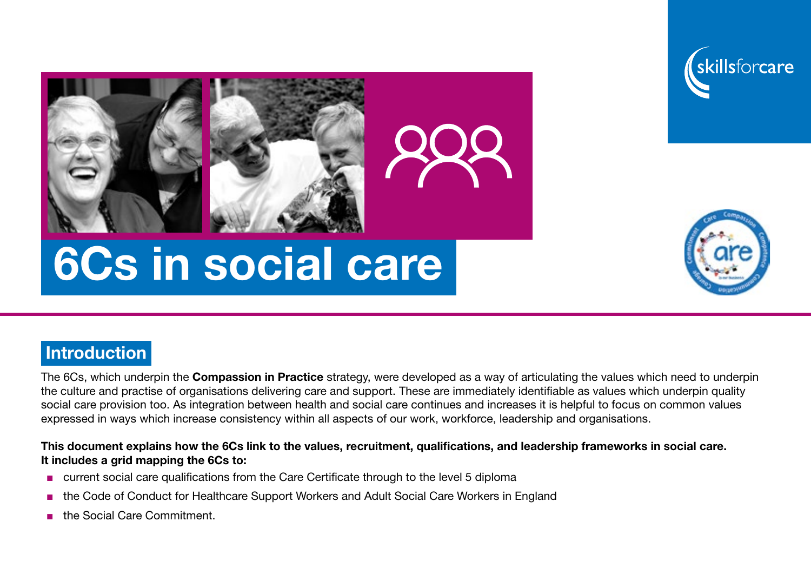





# 6Cs in social care

## **Introduction**

The 6Cs, which underpin the **Compassion in Practice** strategy, were developed as a way of articulating the values which need to underpin the culture and practise of organisations delivering care and support. These are immediately identifiable as values which underpin quality social care provision too. As integration between health and social care continues and increases it is helpful to focus on common values expressed in ways which increase consistency within all aspects of our work, workforce, leadership and organisations.

#### This document explains how the 6Cs link to the values, recruitment, qualifications, and leadership frameworks in social care. It includes a grid mapping the 6Cs to:

- current social care qualifications from the Care Certificate through to the level 5 diploma
- the Code of Conduct for Healthcare Support Workers and Adult Social Care Workers in England
- the Social Care Commitment.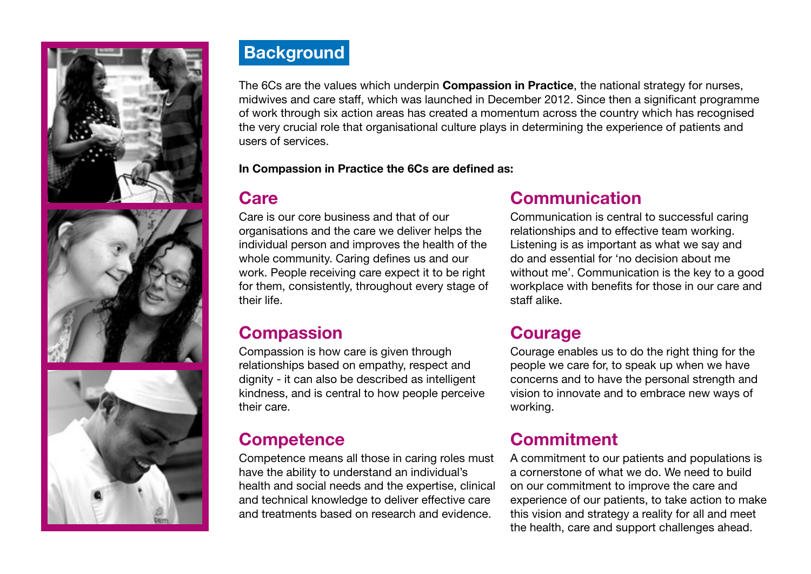





# **Background**

The 6Cs are the values which underpin **Compassion in Practice**, the national strategy for nurses, midwives and care staff, which was launched in December 2012. Since then a significant programme of work through six action areas has created a momentum across the country which has recognised the very crucial role that organisational culture plays in determining the experience of patients and users of services.

In Compassion in Practice the 6Cs are defined as:

## **Care**

Care is our core business and that of our organisations and the care we deliver helps the individual person and improves the health of the whole community. Caring defines us and our work. People receiving care expect it to be right for them, consistently, throughout every stage of their life.

#### **Compassion**

Compassion is how care is given through relationships based on empathy, respect and dignity - it can also be described as intelligent kindness, and is central to how people perceive their care.

## **Competence**

Competence means all those in caring roles must have the ability to understand an individual's health and social needs and the expertise, clinical and technical knowledge to deliver effective care and treatments based on research and evidence.

## Communication

Communication is central to successful caring relationships and to effective team working. Listening is as important as what we say and do and essential for 'no decision about me without me'. Communication is the key to a good workplace with benefits for those in our care and staff alike.

#### Courage

Courage enables us to do the right thing for the people we care for, to speak up when we have concerns and to have the personal strength and vision to innovate and to embrace new ways of working.

## Commitment

A commitment to our patients and populations is a cornerstone of what we do. We need to build on our commitment to improve the care and experience of our patients, to take action to make this vision and strategy a reality for all and meet the health, care and support challenges ahead.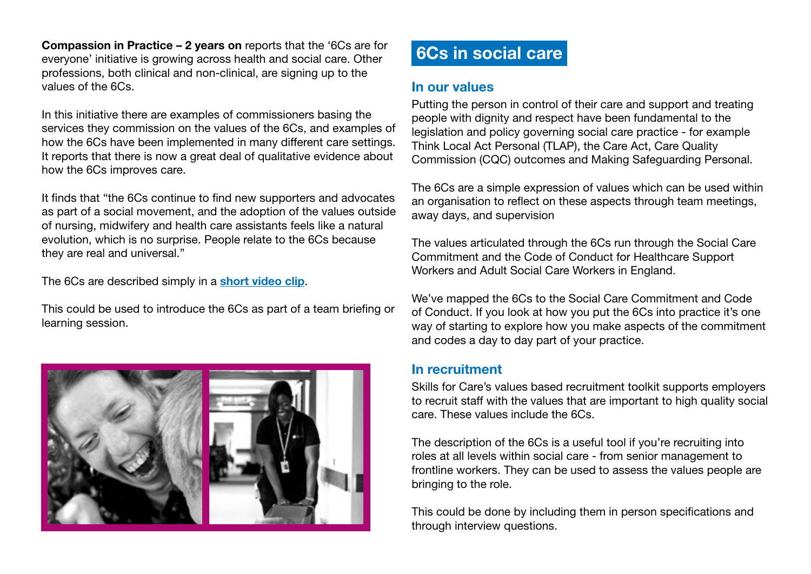Compassion in Practice – 2 years on reports that the '6Cs are for everyone' initiative is growing across health and social care. Other professions, both clinical and non-clinical, are signing up to the values of the 6Cs.

In this initiative there are examples of commissioners basing the services they commission on the values of the 6Cs, and examples of how the 6Cs have been implemented in many different care settings. It reports that there is now a great deal of qualitative evidence about how the 6Cs improves care.

It finds that "the 6Cs continue to find new supporters and advocates as part of a social movement, and the adoption of the values outside of nursing, midwifery and health care assistants feels like a natural evolution, which is no surprise. People relate to the 6Cs because they are real and universal."

The 6Cs are described simply in a [short video clip](https://www.youtube.com/watch?feature=player_embedded&v=VztWjL1TlGk).

This could be used to introduce the 6Cs as part of a team briefing or learning session.



## 6Cs in social care

#### In our values

Putting the person in control of their care and support and treating people with dignity and respect have been fundamental to the legislation and policy governing social care practice - for example Think Local Act Personal (TLAP), the Care Act, Care Quality Commission (CQC) outcomes and Making Safeguarding Personal.

The 6Cs are a simple expression of values which can be used within an organisation to reflect on these aspects through team meetings, away days, and supervision

The values articulated through the 6Cs run through the Social Care Commitment and the Code of Conduct for Healthcare Support Workers and Adult Social Care Workers in England.

We've mapped the 6Cs to the Social Care Commitment and Code of Conduct. If you look at how you put the 6Cs into practice it's one way of starting to explore how you make aspects of the commitment and codes a day to day part of your practice.

#### In recruitment

Skills for Care's values based recruitment toolkit supports employers to recruit staff with the values that are important to high quality social care. These values include the 6Cs.

The description of the 6Cs is a useful tool if you're recruiting into roles at all levels within social care - from senior management to frontline workers. They can be used to assess the values people are bringing to the role.

This could be done by including them in person specifications and through interview questions.